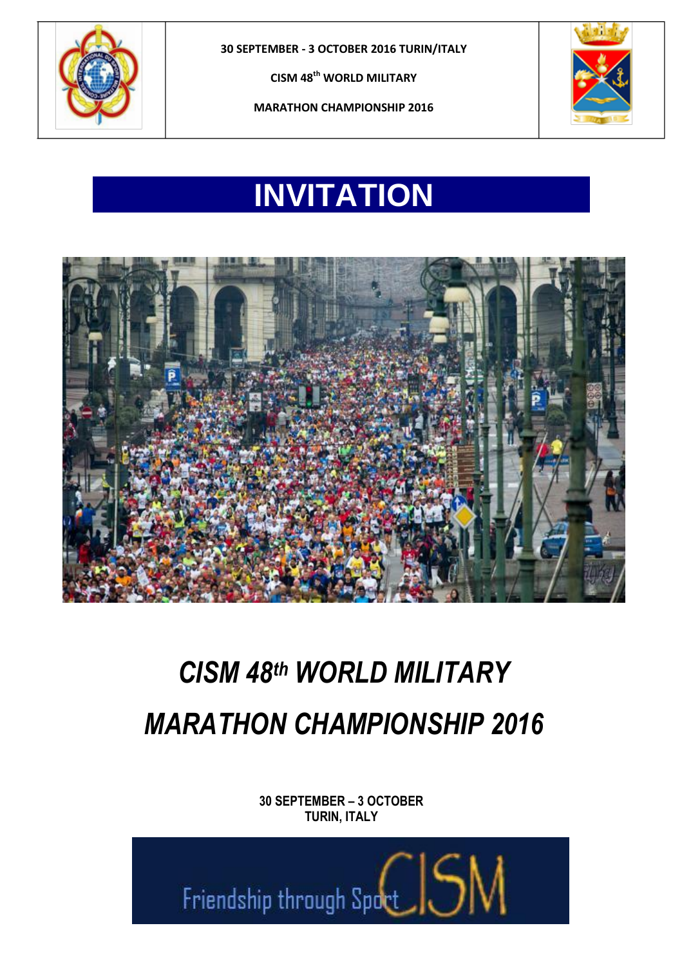

**30 SEPTEMBER - 3 OCTOBER 2016 TURIN/ITALY**

**CISM 48th WORLD MILITARY** 





# **INVITATION**



# *CISM 48 th WORLD MILITARY MARATHON CHAMPIONSHIP 2016*

**30 SEPTEMBER – 3 OCTOBER TURIN, ITALY** 

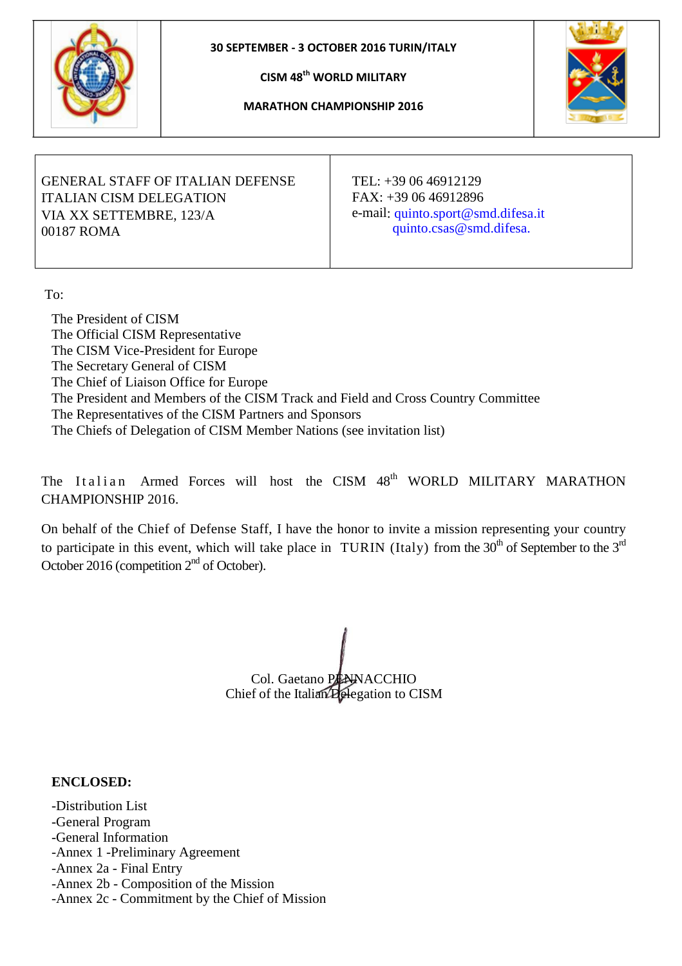



**MARATHON CHAMPIONSHIP 2016**



### GENERAL STAFF OF ITALIAN DEFENSE ITALIAN CISM DELEGATION VIA XX SETTEMBRE, 123/A 00187 ROMA

TEL: +39 06 46912129 FAX: +39 06 46912896 e-mail: quinto.sport@smd.difesa.it quinto.csas@smd.difesa.

To:

The President of CISM The Official CISM Representative The CISM Vice-President for Europe The Secretary General of CISM The Chief of Liaison Office for Europe The President and Members of the CISM Track and Field and Cross Country Committee The Representatives of the CISM Partners and Sponsors The Chiefs of Delegation of CISM Member Nations (see invitation list)

The Italian Armed Forces will host the CISM 48<sup>th</sup> WORLD MILITARY MARATHON CHAMPIONSHIP 2016.

On behalf of the Chief of Defense Staff, I have the honor to invite a mission representing your country to participate in this event, which will take place in TURIN (Italy) from the 30<sup>th</sup> of September to the 3<sup>rd</sup> October 2016 (competition 2<sup>nd</sup> of October).

Col. Gaetano PENNACCHIO Chief of the Italian Delegation to CISM

### **ENCLOSED:**

-Distribution List -General Program -General Information -Annex 1 -Preliminary Agreement -Annex 2a - Final Entry -Annex 2b - Composition of the Mission -Annex 2c - Commitment by the Chief of Mission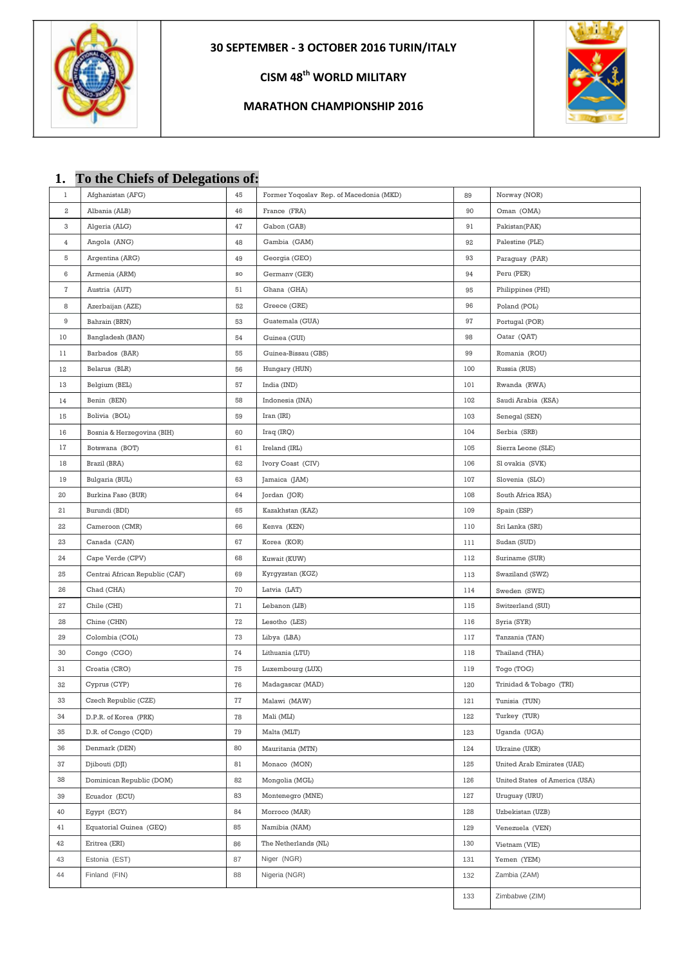

### **MARATHON CHAMPIONSHIP 2016**



|       | 1. To the Chiefs of Delegations of: |    |                                         |     |                                   |
|-------|-------------------------------------|----|-----------------------------------------|-----|-----------------------------------|
| 1     | Afghanistan (AFG)                   | 45 | Former Yoqoslav Rep. of Macedonia (MKD) | 89  | Norway (NOR)                      |
| $\,2$ | Albania (ALB)                       | 46 | France (FRA)                            | 90  | Oman (OMA)                        |
| 3     | Algeria (ALG)                       | 47 | Gabon (GAB)                             | 91  | Pakistan(PAK)                     |
| 4     | Angola (ANG)                        | 48 | Gambia (GAM)                            | 92  | Palestine (PLE)                   |
| 5     | Argentina (ARG)                     | 49 | Georgia (GEO)                           | 93  | Paraguay (PAR)                    |
| 6     | Armenia (ARM)                       | SO | Germany (GER)                           | 94  | Peru (PER)                        |
| 7     | Austria (AUT)                       | 51 | Ghana (GHA)                             | 95  | Philippines (PHI)                 |
| 8     | Azerbaijan (AZE)                    | 52 | Greece (GRE)                            | 96  | Poland (POL)                      |
| 9     | Bahrain (BRN)                       | 53 | Guatemala (GUA)                         | 97  | Portugal (POR)                    |
| 10    | Bangladesh (BAN)                    | 54 | Guinea (GUI)                            | 98  | Oatar (QAT)                       |
| 11    | Barbados (BAR)                      | 55 | Guinea-Bissau (GBS)                     | 99  | Romania (ROU)                     |
| 12    | Belarus (BLR)                       | 56 | Hungary (HUN)                           | 100 | Russia (RUS)                      |
| 13    | Belgium (BEL)                       | 57 | India (IND)                             | 101 | Rwanda (RWA)                      |
| 14    | Benin (BEN)                         | 58 | Indonesia (INA)                         | 102 | Saudi Arabia (KSA)                |
| 15    | Bolivia (BOL)                       | 59 | Iran (IRI)                              | 103 | Senegal (SEN)                     |
| 16    | Bosnia & Herzegovina (BIH)          | 60 | Iraq (IRQ)                              | 104 | Serbia (SRB)                      |
| 17    | Botswana (BOT)                      | 61 | Ireland (IRL)                           | 105 | Sierra Leone (SLE)                |
| 18    | Brazil (BRA)                        | 62 | Ivory Coast (CIV)                       | 106 | Sl ovakia (SVK)                   |
| 19    | Bulgaria (BUL)                      | 63 | Jamaica (JAM)                           | 107 | Slovenia (SLO)                    |
| 20    | Burkina Faso (BUR)                  | 64 | Jordan (JOR)                            | 108 | South Africa RSA)                 |
| 21    | Burundi (BDI)                       | 65 | Kazakhstan (KAZ)                        | 109 | Spain (ESP)                       |
| 22    | Cameroon (CMR)                      | 66 | Kenva (KEN)                             | 110 | Sri Lanka (SRI)                   |
| 23    | Canada (CAN)                        | 67 | Korea (KOR)                             | 111 | Sudan (SUD)                       |
| 24    | Cape Verde (CPV)                    | 68 | Kuwait (KUW)                            | 112 | Suriname (SUR)                    |
| 25    | Centrai African Republic (CAF)      | 69 | Kyrgyzstan (KGZ)                        | 113 | Swaziland (SWZ)                   |
| 26    | Chad (CHA)                          | 70 | Latvia (LAT)                            | 114 | Sweden (SWE)                      |
| 27    | Chile (CHI)                         | 71 | Lebanon (LIB)                           | 115 | Switzerland (SUI)                 |
| 28    | Chine (CHN)                         | 72 | Lesotho (LES)                           | 116 | Syria (SYR)                       |
| 29    | Colombia (COL)                      | 73 | Libya (LBA)                             | 117 | Tanzania (TAN)                    |
| 30    | Congo (CGO)                         | 74 | Lithuania (LTU)                         | 118 | Thailand (THA)                    |
| 31    | Croatia (CRO)                       | 75 | Luxembourg (LUX)                        | 119 | Togo (TOG)                        |
| 32    | Cyprus (CYP)                        | 76 | Madagascar (MAD)                        | 120 | Trinidad & Tobago (TRI)           |
| 33    | Czech Republic (CZE)                | 77 | Malawi (MAW)                            | 121 | Tunisia (TUN)                     |
| 34    | D.P.R. of Korea (PRK)               | 78 | Mali (MLI)                              | 122 | Turkey (TUR)                      |
| 35    | D.R. of Congo (CQD)                 | 79 | Malta (MLT)                             | 123 | Uganda (UGA)                      |
| 36    | Denmark (DEN)                       | 80 | Mauritania (MTN)                        | 124 | Ukraine (UKR)                     |
| 37    | Djibouti (DJI)                      | 81 | Monaco (MON)                            | 125 | <b>United Arab Emirates (UAE)</b> |
| 38    | Dominican Republic (DOM)            | 82 | Mongolia (MGL)                          | 126 | United States of America (USA)    |
| 39    | Ecuador (ECU)                       | 83 | Montenegro (MNE)                        | 127 | Uruguay (URU)                     |
| 40    | Egypt (EGY)                         | 84 | Morroco (MAR)                           | 128 | Uzbekistan (UZB)                  |
| 41    | Equatorial Guinea (GEQ)             | 85 | Namibia (NAM)                           | 129 | Venezuela (VEN)                   |
| 42    | Eritrea (ERI)                       | 86 | The Netherlands (NL)                    | 130 | Vietnam (VIE)                     |
| 43    | Estonia (EST)                       | 87 | Niger (NGR)                             | 131 | Yemen (YEM)                       |
| 44    | Finland (FIN)                       | 88 | Nigeria (NGR)                           | 132 | Zambia (ZAM)                      |
|       |                                     |    |                                         | 133 | Zimbabwe (ZIM)                    |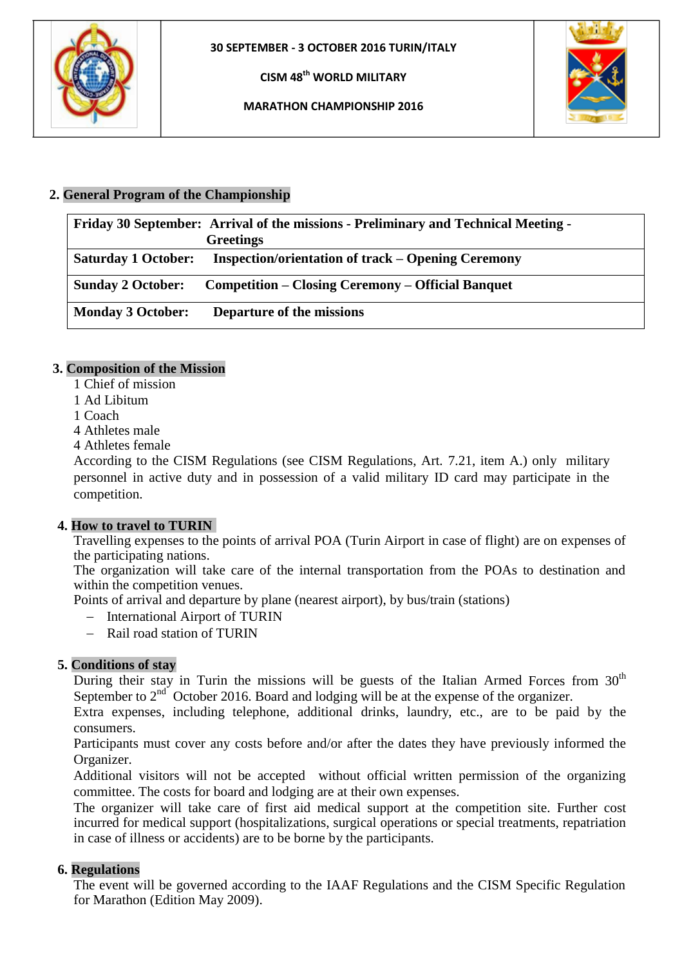

**MARATHON CHAMPIONSHIP 2016**



### **2. General Program of the Championship**

|                            | Friday 30 September: Arrival of the missions - Preliminary and Technical Meeting - |
|----------------------------|------------------------------------------------------------------------------------|
|                            | <b>Greetings</b>                                                                   |
| <b>Saturday 1 October:</b> | <b>Inspection/orientation of track – Opening Ceremony</b>                          |
| <b>Sunday 2 October:</b>   | <b>Competition – Closing Ceremony – Official Banquet</b>                           |
| <b>Monday 3 October:</b>   | Departure of the missions                                                          |

### **3. Composition of the Mission**

- 1 Chief of mission
- 1 Ad Libitum
- 1 Coach
- 4 Athletes male
- 4 Athletes female

According to the CISM Regulations (see CISM Regulations, Art. 7.21, item A.) only military personnel in active duty and in possession of a valid military ID card may participate in the competition.

### **4. How to travel to TURIN**

Travelling expenses to the points of arrival POA (Turin Airport in case of flight) are on expenses of the participating nations.

The organization will take care of the internal transportation from the POAs to destination and within the competition venues.

Points of arrival and departure by plane (nearest airport), by bus/train (stations)

- International Airport of TURIN
- Rail road station of TURIN

### **5. Conditions of stay**

During their stay in Turin the missions will be guests of the Italian Armed Forces from  $30<sup>th</sup>$ September to  $2<sup>nd</sup>$  October 2016. Board and lodging will be at the expense of the organizer.

Extra expenses, including telephone, additional drinks, laundry, etc., are to be paid by the consumers.

Participants must cover any costs before and/or after the dates they have previously informed the Organizer.

Additional visitors will not be accepted without official written permission of the organizing committee. The costs for board and lodging are at their own expenses.

The organizer will take care of first aid medical support at the competition site. Further cost incurred for medical support (hospitalizations, surgical operations or special treatments, repatriation in case of illness or accidents) are to be borne by the participants.

### **6. Regulations**

The event will be governed according to the IAAF Regulations and the CISM Specific Regulation for Marathon (Edition May 2009).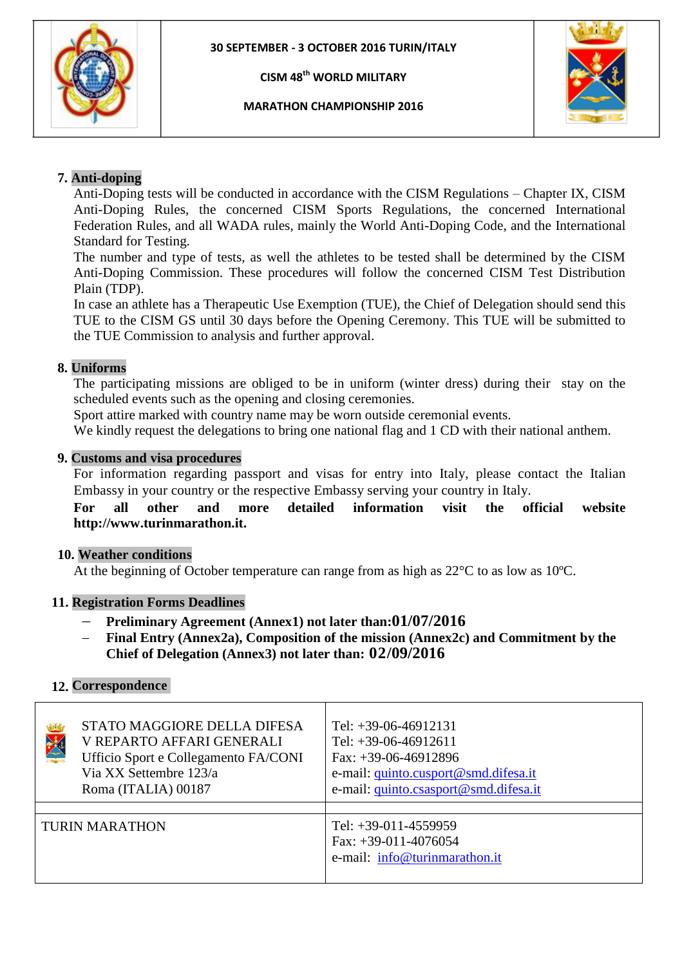**MARATHON CHAMPIONSHIP 2016**



### **7. Anti-doping**

Anti-Doping tests will be conducted in accordance with the CISM Regulations – Chapter IX, CISM Anti-Doping Rules, the concerned CISM Sports Regulations, the concerned International Federation Rules, and all WADA rules, mainly the World Anti-Doping Code, and the International Standard for Testing.

The number and type of tests, as well the athletes to be tested shall be determined by the CISM Anti-Doping Commission. These procedures will follow the concerned CISM Test Distribution Plain (TDP).

In case an athlete has a Therapeutic Use Exemption (TUE), the Chief of Delegation should send this TUE to the CISM GS until 30 days before the Opening Ceremony. This TUE will be submitted to the TUE Commission to analysis and further approval.

### **8. Uniforms**

The participating missions are obliged to be in uniform (winter dress) during their stay on the scheduled events such as the opening and closing ceremonies.

Sport attire marked with country name may be worn outside ceremonial events.

We kindly request the delegations to bring one national flag and 1 CD with their national anthem.

#### **9. Customs and visa procedures**

For information regarding passport and visas for entry into Italy, please contact the Italian Embassy in your country or the respective Embassy serving your country in Italy.

**For all other and more detailed information visit the official website http://www.turinmarathon.it.** 

#### **10. Weather conditions**

At the beginning of October temperature can range from as high as  $22^{\circ}$ C to as low as 10<sup>o</sup>C.

#### **11. Registration Forms Deadlines**

- **Preliminary Agreement (Annex1) not later than:01/07/2016**
- **Final Entry (Annex2a), Composition of the mission (Annex2c) and Commitment by the Chief of Delegation (Annex3) not later than: 02/09/2016**

### **12. Correspondence**

|                       | STATO MAGGIORE DELLA DIFESA<br>V REPARTO AFFARI GENERALI<br>Ufficio Sport e Collegamento FA/CONI<br>Via XX Settembre 123/a<br>Roma (ITALIA) 00187 | Tel: $+39-06-46912131$<br>Tel: $+39-06-46912611$<br>Fax: $+39-06-46912896$<br>e-mail: quinto.cusport@smd.difesa.it<br>e-mail: quinto.csasport@smd.difesa.it |
|-----------------------|---------------------------------------------------------------------------------------------------------------------------------------------------|-------------------------------------------------------------------------------------------------------------------------------------------------------------|
| <b>TURIN MARATHON</b> |                                                                                                                                                   | Tel: $+39-011-4559959$<br>Fax: $+39-011-4076054$<br>e-mail: info@turinmarathon.it                                                                           |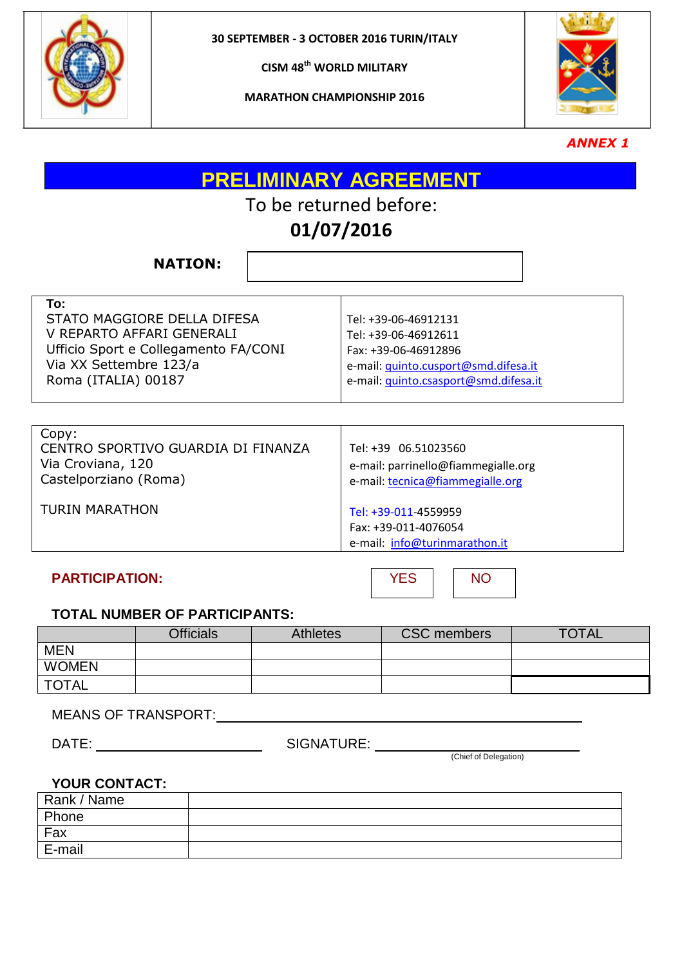

**MARATHON CHAMPIONSHIP 2016**



*ANNEX 1*

**PRELIMINARY AGREEMENT**

# To be returned before:

### **01/07/2016**

**NATION:**

| To:                                  |                                       |
|--------------------------------------|---------------------------------------|
| STATO MAGGIORE DELLA DIFESA          | Tel: +39-06-46912131                  |
| V REPARTO AFFARI GENERALI            | Tel: +39-06-46912611                  |
| Ufficio Sport e Collegamento FA/CONI | Fax: +39-06-46912896                  |
| Via XX Settembre 123/a               | e-mail: quinto.cusport@smd.difesa.it  |
| Roma (ITALIA) 00187                  | e-mail: quinto.csasport@smd.difesa.it |
|                                      |                                       |

| Copy:<br>CENTRO SPORTIVO GUARDIA DI FINANZA<br>Via Croviana, 120<br>Castelporziano (Roma) | Tel: +39 06.51023560<br>e-mail: parrinello@fiammegialle.org<br>e-mail: tecnica@fiammegialle.org |
|-------------------------------------------------------------------------------------------|-------------------------------------------------------------------------------------------------|
| <b>TURIN MARATHON</b>                                                                     | Tel: +39-011-4559959<br>Fax: +39-011-4076054<br>e-mail: info@turinmarathon.it                   |

**PARTICIPATION:** NO

### **TOTAL NUMBER OF PARTICIPANTS:**

|              | <b>Officials</b> | <b>Athletes</b> | <b>CSC</b> members | <b>TOTAL</b> |
|--------------|------------------|-----------------|--------------------|--------------|
| <b>MEN</b>   |                  |                 |                    |              |
| <b>WOMEN</b> |                  |                 |                    |              |
| <b>TOTAL</b> |                  |                 |                    |              |

MEANS OF TRANSPORT:

DATE: SIGNATURE:

(Chief of Delegation)

### **YOUR CONTACT:**

| Rank / Name |  |
|-------------|--|
| Phone       |  |
| Fax         |  |
| E-mail      |  |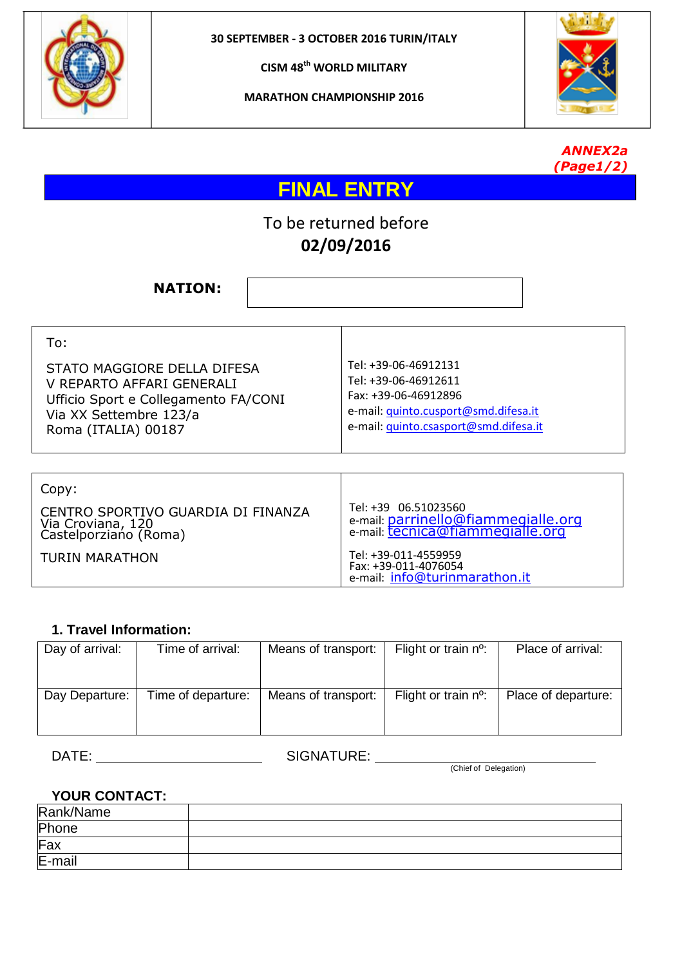

**MARATHON CHAMPIONSHIP 2016**





## **FINAL ENTRY**

### To be returned before **02/09/2016**

**NATION:**

| Tel: +39-06-46912131<br>STATO MAGGIORE DELLA DIFESA<br>Tel: +39-06-46912611<br>V REPARTO AFFARI GENERALI<br>Fax: +39-06-46912896<br>Ufficio Sport e Collegamento FA/CONI<br>e-mail: quinto.cusport@smd.difesa.it<br>Via XX Settembre 123/a<br>e-mail: quinto.csasport@smd.difesa.it<br>Roma (ITALIA) 00187 |  |
|------------------------------------------------------------------------------------------------------------------------------------------------------------------------------------------------------------------------------------------------------------------------------------------------------------|--|
|                                                                                                                                                                                                                                                                                                            |  |

| Copy:                                                                            |                                                                                                 |
|----------------------------------------------------------------------------------|-------------------------------------------------------------------------------------------------|
| CENTRO SPORTIVO GUARDIA DI FINANZA<br>Via Croviana, 120<br>Castelporziano (Roma) | Tel: +39 06.51023560<br>e-mail: parrinello@fiammegialle.org<br>e-mail: tecnica@fiammegialle.org |
| <b>TURIN MARATHON</b>                                                            | Tel: +39-011-4559959<br>Fax: +39-011-4076054<br>e-mail: info@turinmarathon.it                   |

### **1. Travel Information:**

| Day of arrival: | Time of arrival:   | Means of transport: | Flight or train $n^{\circ}$ : | Place of arrival:   |
|-----------------|--------------------|---------------------|-------------------------------|---------------------|
| Day Departure:  | Time of departure: | Means of transport: | Flight or train $n^{\circ}$ : | Place of departure: |

DATE: SIGNATURE:

(Chief of Delegation)

### **YOUR CONTACT:**

| Rank/Name |  |
|-----------|--|
| Phone     |  |
| Fax       |  |
| E-mail    |  |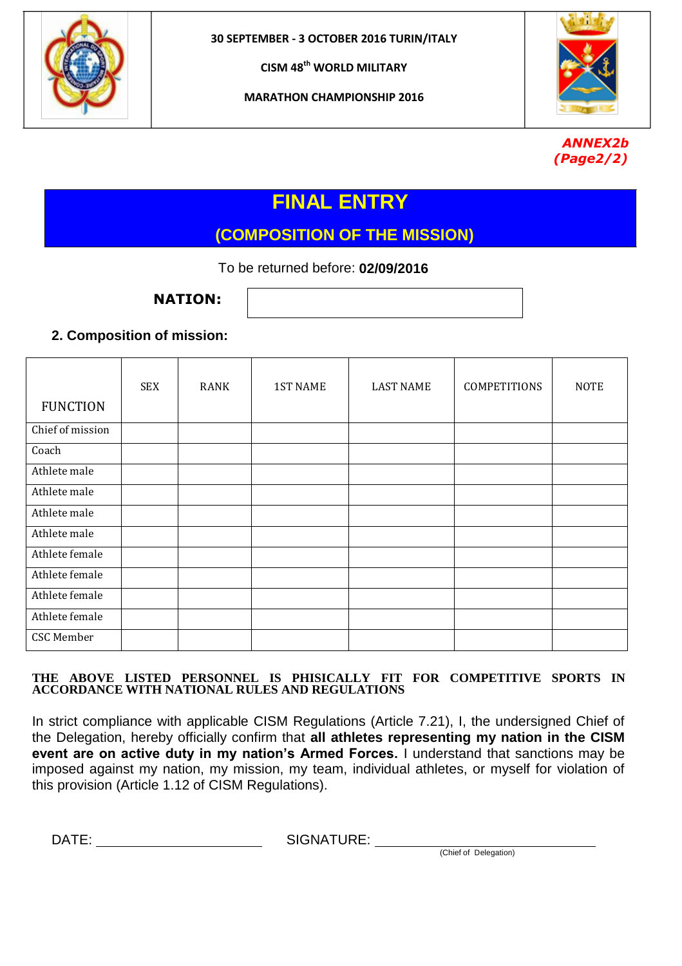

**MARATHON CHAMPIONSHIP 2016**



### *ANNEX2b (Page2/2)*

## **FINAL ENTRY**

### **(COMPOSITION OF THE MISSION)**

To be returned before: **02/09/2016**

**NATION:**

### **2. Composition of mission:**

| <b>FUNCTION</b>  | <b>SEX</b> | <b>RANK</b> | <b>1ST NAME</b> | <b>LAST NAME</b> | <b>COMPETITIONS</b> | <b>NOTE</b> |
|------------------|------------|-------------|-----------------|------------------|---------------------|-------------|
| Chief of mission |            |             |                 |                  |                     |             |
| Coach            |            |             |                 |                  |                     |             |
| Athlete male     |            |             |                 |                  |                     |             |
| Athlete male     |            |             |                 |                  |                     |             |
| Athlete male     |            |             |                 |                  |                     |             |
| Athlete male     |            |             |                 |                  |                     |             |
| Athlete female   |            |             |                 |                  |                     |             |
| Athlete female   |            |             |                 |                  |                     |             |
| Athlete female   |            |             |                 |                  |                     |             |
| Athlete female   |            |             |                 |                  |                     |             |
| CSC Member       |            |             |                 |                  |                     |             |

### **THE ABOVE LISTED PERSONNEL IS PHISICALLY FIT FOR COMPETITIVE SPORTS IN ACCORDANCE WITH NATIONAL RULES AND REGULATIONS**

In strict compliance with applicable CISM Regulations (Article 7.21), I, the undersigned Chief of the Delegation, hereby officially confirm that **all athletes representing my nation in the CISM event are on active duty in my nation's Armed Forces.** I understand that sanctions may be imposed against my nation, my mission, my team, individual athletes, or myself for violation of this provision (Article 1.12 of CISM Regulations).

DATE: SIGNATURE:

(Chief of Delegation)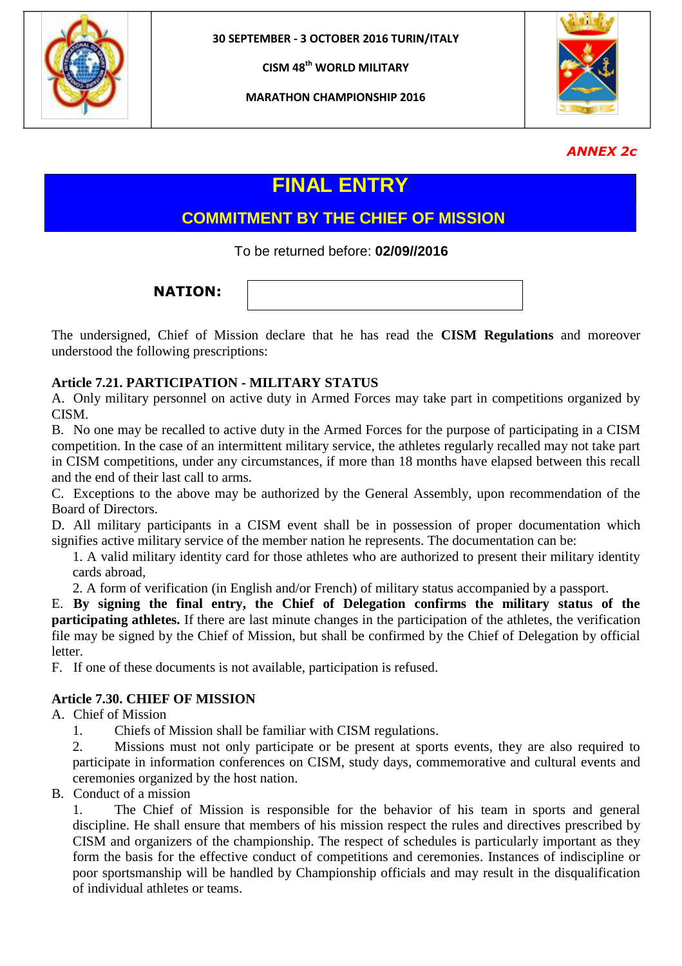

**MARATHON CHAMPIONSHIP 2016**



### *ANNEX 2c*

### **FINAL ENTRY**

### **COMMITMENT BY THE CHIEF OF MISSION**

To be returned before: **02/09//2016**

**NATION:**

The undersigned, Chief of Mission declare that he has read the **CISM Regulations** and moreover understood the following prescriptions:

### **Article 7.21. PARTICIPATION - MILITARY STATUS**

A. Only military personnel on active duty in Armed Forces may take part in competitions organized by CISM.

B. No one may be recalled to active duty in the Armed Forces for the purpose of participating in a CISM competition. In the case of an intermittent military service, the athletes regularly recalled may not take part in CISM competitions, under any circumstances, if more than 18 months have elapsed between this recall and the end of their last call to arms.

C. Exceptions to the above may be authorized by the General Assembly, upon recommendation of the Board of Directors.

D. All military participants in a CISM event shall be in possession of proper documentation which signifies active military service of the member nation he represents. The documentation can be:

1. A valid military identity card for those athletes who are authorized to present their military identity cards abroad,

2. A form of verification (in English and/or French) of military status accompanied by a passport.

E. **By signing the final entry, the Chief of Delegation confirms the military status of the participating athletes.** If there are last minute changes in the participation of the athletes, the verification file may be signed by the Chief of Mission, but shall be confirmed by the Chief of Delegation by official letter.

F. If one of these documents is not available, participation is refused.

### **Article 7.30. CHIEF OF MISSION**

A. Chief of Mission

1. Chiefs of Mission shall be familiar with CISM regulations.

2. Missions must not only participate or be present at sports events, they are also required to participate in information conferences on CISM, study days, commemorative and cultural events and ceremonies organized by the host nation.

B. Conduct of a mission

1. The Chief of Mission is responsible for the behavior of his team in sports and general discipline. He shall ensure that members of his mission respect the rules and directives prescribed by CISM and organizers of the championship. The respect of schedules is particularly important as they form the basis for the effective conduct of competitions and ceremonies. Instances of indiscipline or poor sportsmanship will be handled by Championship officials and may result in the disqualification of individual athletes or teams.